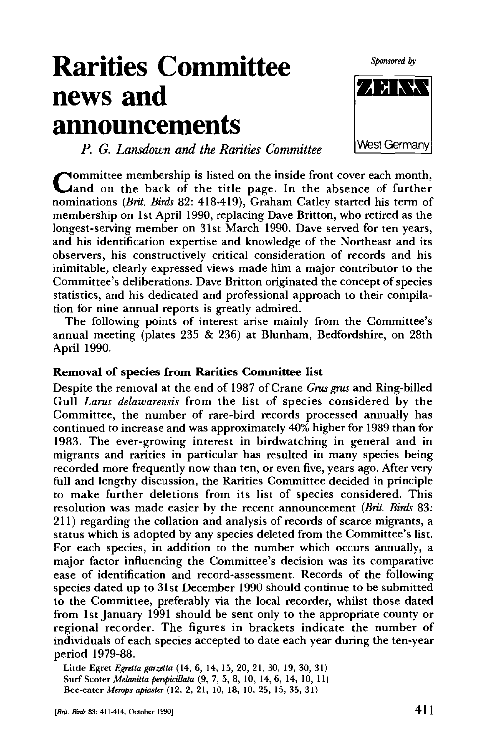Sponsored by

# **Rarities Committee news and announcements**

*P. G. Lansdown and the Rarities Committee* 

Committee membership is listed on the inside front cover each month,<br>Cland on the back of the title page. In the absence of further ommittee membership is listed on the inside front cover each month, nominations *{Brit. Birds* 82: 418-419), Graham Catley started his term of membership on 1st April 1990, replacing Dave Britton, who retired as the longest-serving member on 31st March 1990. Dave served for ten years, and his identification expertise and knowledge of the Northeast and its observers, his constructively critical consideration of records and his inimitable, clearly expressed views made him a major contributor to the Committee's deliberations. Dave Britton originated the concept of species statistics, and his dedicated and professional approach to their compilation for nine annual reports is greatly admired.

The following points of interest arise mainly from the Committee's annual meeting (plates 235 & 236) at Blunham, Bedfordshire, on 28th April 1990.

# **Removal of species from Rarities Committee list**

Despite the removal at the end of 1987 of Crane *Grus grus* and Ring-billed Gull *Larus delawarensis* from the list of species considered by the Committee, the number of rare-bird records processed annually has continued to increase and was approximately 40% higher for 1989 than for 1983. The ever-growing interest in birdwatching in general and in migrants and rarities in particular has resulted in many species being recorded more frequently now than ten, or even five, years ago. After very full and lengthy discussion, the Rarities Committee decided in principle to make further deletions from its list of species considered. This resolution was made easier by the recent announcement *(Brit. Birds* 83: 211) regarding the collation and analysis of records of scarce migrants, a status which is adopted by any species deleted from the Committee's list. For each species, in addition to the number which occurs annually, a major factor influencing the Committee's decision was its comparative ease of identification and record-assessment. Records of the following species dated up to 31st December 1990 should continue to be submitted to the Committee, preferably via the local recorder, whilst those dated from 1st January 1991 should be sent only to the appropriate county or regional recorder. The figures in brackets indicate the number of individuals of each species accepted to date each year during the ten-year period 1979-88.

Little Egret *Egretta garzetta* (14, 6, 14, 15, 20, 21, 30, 19, 30, 31) Surf Scoter *Melamtta perspitillata* (9, 7, 5, 8, 10, 14, 6, 14, 10, 11) Bee-eater *Merops apiaster* (12, 2, 21, 10, 18, 10, 25, 15, 35, 31)

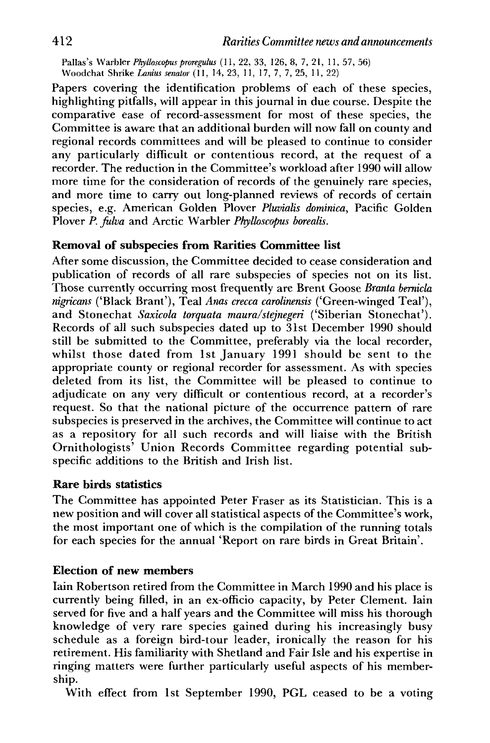Pallas's Warbler *Pkytkscoptis proregulus* (11, 22, 33, 126, 8, 7, 21, 11, 57, 56) Woodchat Shrike *Lamus senator* (11, 14, 23, 11, 17, 7, 7, 25, 11, 22)

Papers covering the identification problems of each of these species, highlighting pitfalls, will appear in this journal in due course. Despite the comparative ease of record-assessment for most of these species, the Committee is aware that an additional burden will now fall on county and regional records committees and will be pleased to continue to consider any particularly difficult or contentious record, at the request of a recorder. The reduction in the Committee's workload after 1990 will allow more time for the consideration of records of the genuinely rare species, and more time to cany out long-planned reviews of records of certain species, e.g. American Golden Plover *Pluvialis dominica,* Pacific Golden Plover *P. fidva* and Arctic Warbler *Phylhscopus borealis.* 

#### **Removal of subspecies from Rarities Committee list**

After some discussion, the Committee decided to cease consideration and publication of records of all rare subspecies of species not on its list. Those currently occurring most frequently are Brent Goose *Branta bemicla nigricans* ('Black Brant'), Teal *Anas crecca carolinensis* ('Green-winged Teal'), and Stonechat *Saxicola torquata maura/stejnegeri* ('Siberian Stonechat'). Records of all such subspecies dated up to 31st December 1990 should still be submitted to the Committee, preferably via the local recorder, whilst those dated from 1st January 1991 should be sent to the appropriate county or regional recorder for assessment. As with species deleted from its list, the Committee will be pleased to continue to adjudicate on any very difficult or contentious record, at a recorder's request. So that the national picture of the occurrence pattern of rare subspecies is preserved in the archives, the Committee will continue to act as a repository for all such records and will liaise with the British Ornithologists' Union Records Committee regarding potential subspecific additions to the British and Irish list.

### **Rare birds statistics**

The Committee has appointed Peter Fraser as its Statistician. This is a new position and will cover all statistical aspects of the Committee's work, the most important one of which is the compilation of the running totals for each species for the annual 'Report on rare birds in Great Britain'.

## **Election of new members**

Iain Robertson retired from the Committee in March 1990 and his place is currently being filled, in an ex-officio capacity, by Peter Clement. Iain served for five and a half years and the Committee will miss his thorough knowledge of very rare species gained during his increasingly busy schedule as a foreign bird-tour leader, ironically the reason for his retirement. His familiarity with Shetland and Fair Isle and his expertise in ringing matters were further particularly useful aspects of his membership.

With effect from 1st September 1990, PGL ceased to be a voting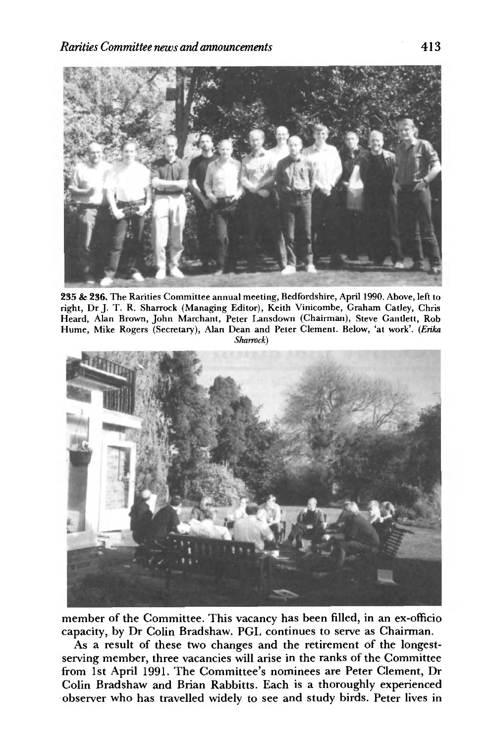

235 & 236. The Rarities Committee annual meeting, Bedfordshire, April 1990. Above, left to right, Dr J. T. R. Sharrock (Managing Editor), Keith Vinicombe, Graham Catley, Chris Heard, Alan Brown, John Marchant, Peter Lansdown (Chairman), Steve Gantlett, Rob Hume, Mike Rogers (Secretary), Alan Dean and Peter Clement. Below, 'at work'. *(Erika Sharrock)* 



member of the Committee. This vacancy has been filled, in an ex-officio capacity, by Dr Colin Bradshaw. PGL continues to serve as Chairman.

As a result of these two changes and the retirement of the longestserving member, three vacancies will arise in the ranks of the Committee from 1st April 1991. The Committee's nominees are Peter Clement, Dr Colin Bradshaw and Brian Rabbitts. Each is a thoroughly experienced observer who has travelled widely to see and study birds. Peter lives in